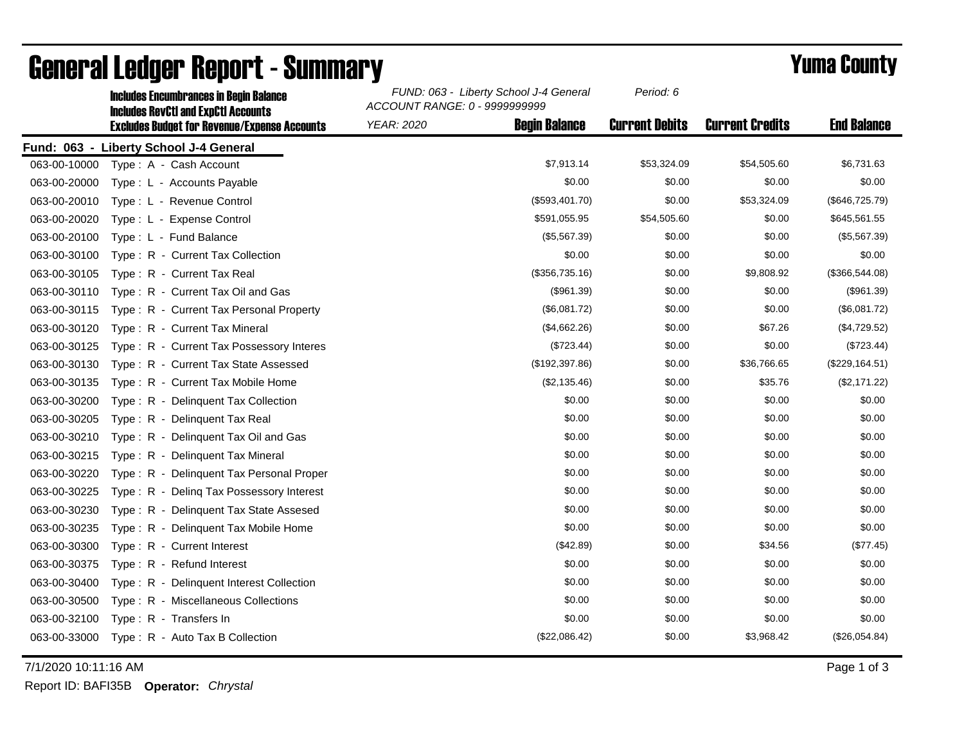|              | <b>Includes Encumbrances in Begin Balance</b><br><b>Includes RevCtI and ExpCtI Accounts</b><br><b>Excludes Budget for Revenue/Expense Accounts</b> | FUND: 063 - Liberty School J-4 General<br>ACCOUNT RANGE: 0 - 9999999999 |                      | Period: 6             |                        |                    |
|--------------|----------------------------------------------------------------------------------------------------------------------------------------------------|-------------------------------------------------------------------------|----------------------|-----------------------|------------------------|--------------------|
|              |                                                                                                                                                    | <b>YEAR: 2020</b>                                                       | <b>Begin Balance</b> | <b>Current Debits</b> | <b>Current Credits</b> | <b>End Balance</b> |
|              | Fund: 063 - Liberty School J-4 General                                                                                                             |                                                                         |                      |                       |                        |                    |
| 063-00-10000 | Type: A - Cash Account                                                                                                                             |                                                                         | \$7,913.14           | \$53,324.09           | \$54,505.60            | \$6,731.63         |
| 063-00-20000 | Type: L - Accounts Payable                                                                                                                         |                                                                         | \$0.00               | \$0.00                | \$0.00                 | \$0.00             |
| 063-00-20010 | Type: L - Revenue Control                                                                                                                          |                                                                         | (\$593,401.70)       | \$0.00                | \$53,324.09            | (\$646, 725.79)    |
| 063-00-20020 | Type: L - Expense Control                                                                                                                          |                                                                         | \$591,055.95         | \$54,505.60           | \$0.00                 | \$645,561.55       |
| 063-00-20100 | Type: L - Fund Balance                                                                                                                             |                                                                         | (\$5,567.39)         | \$0.00                | \$0.00                 | (\$5,567.39)       |
| 063-00-30100 | Type: R - Current Tax Collection                                                                                                                   |                                                                         | \$0.00               | \$0.00                | \$0.00                 | \$0.00             |
| 063-00-30105 | Type: R - Current Tax Real                                                                                                                         |                                                                         | (\$356,735.16)       | \$0.00                | \$9,808.92             | (\$366,544.08)     |
| 063-00-30110 | Type: R - Current Tax Oil and Gas                                                                                                                  |                                                                         | (\$961.39)           | \$0.00                | \$0.00                 | (\$961.39)         |
| 063-00-30115 | Type: R - Current Tax Personal Property                                                                                                            |                                                                         | (\$6,081.72)         | \$0.00                | \$0.00                 | (\$6,081.72)       |
| 063-00-30120 | Type: R - Current Tax Mineral                                                                                                                      |                                                                         | (\$4,662.26)         | \$0.00                | \$67.26                | (\$4,729.52)       |
| 063-00-30125 | Type: R - Current Tax Possessory Interes                                                                                                           |                                                                         | (\$723.44)           | \$0.00                | \$0.00                 | (\$723.44)         |
| 063-00-30130 | Type: R - Current Tax State Assessed                                                                                                               |                                                                         | (\$192, 397.86)      | \$0.00                | \$36,766.65            | (\$229, 164.51)    |
| 063-00-30135 | Type: R - Current Tax Mobile Home                                                                                                                  |                                                                         | (\$2,135.46)         | \$0.00                | \$35.76                | (\$2,171.22)       |
| 063-00-30200 | Type: R - Delinquent Tax Collection                                                                                                                |                                                                         | \$0.00               | \$0.00                | \$0.00                 | \$0.00             |
| 063-00-30205 | Type: R - Delinquent Tax Real                                                                                                                      |                                                                         | \$0.00               | \$0.00                | \$0.00                 | \$0.00             |
| 063-00-30210 | Type: R - Delinquent Tax Oil and Gas                                                                                                               |                                                                         | \$0.00               | \$0.00                | \$0.00                 | \$0.00             |
| 063-00-30215 | Type: R - Delinquent Tax Mineral                                                                                                                   |                                                                         | \$0.00               | \$0.00                | \$0.00                 | \$0.00             |
| 063-00-30220 | Type: R - Delinquent Tax Personal Proper                                                                                                           |                                                                         | \$0.00               | \$0.00                | \$0.00                 | \$0.00             |
| 063-00-30225 | Type: R - Deling Tax Possessory Interest                                                                                                           |                                                                         | \$0.00               | \$0.00                | \$0.00                 | \$0.00             |
| 063-00-30230 | Type: R - Delinquent Tax State Assesed                                                                                                             |                                                                         | \$0.00               | \$0.00                | \$0.00                 | \$0.00             |
| 063-00-30235 | Type: R - Delinquent Tax Mobile Home                                                                                                               |                                                                         | \$0.00               | \$0.00                | \$0.00                 | \$0.00             |
| 063-00-30300 | Type: R - Current Interest                                                                                                                         |                                                                         | (\$42.89)            | \$0.00                | \$34.56                | (\$77.45)          |
| 063-00-30375 | Type: R - Refund Interest                                                                                                                          |                                                                         | \$0.00               | \$0.00                | \$0.00                 | \$0.00             |
| 063-00-30400 | Type: R - Delinquent Interest Collection                                                                                                           |                                                                         | \$0.00               | \$0.00                | \$0.00                 | \$0.00             |
| 063-00-30500 | Type: R - Miscellaneous Collections                                                                                                                |                                                                         | \$0.00               | \$0.00                | \$0.00                 | \$0.00             |
| 063-00-32100 | Type: R - Transfers In                                                                                                                             |                                                                         | \$0.00               | \$0.00                | \$0.00                 | \$0.00             |
| 063-00-33000 | Type: R - Auto Tax B Collection                                                                                                                    |                                                                         | (\$22,086.42)        | \$0.00                | \$3,968.42             | (\$26,054.84)      |

## General Ledger Report - Summary **Example 2018** Yuma County

7/1/2020 10:11:16 AM Page 1 of 3

Report ID: BAFI35B **Operator:** *Chrystal*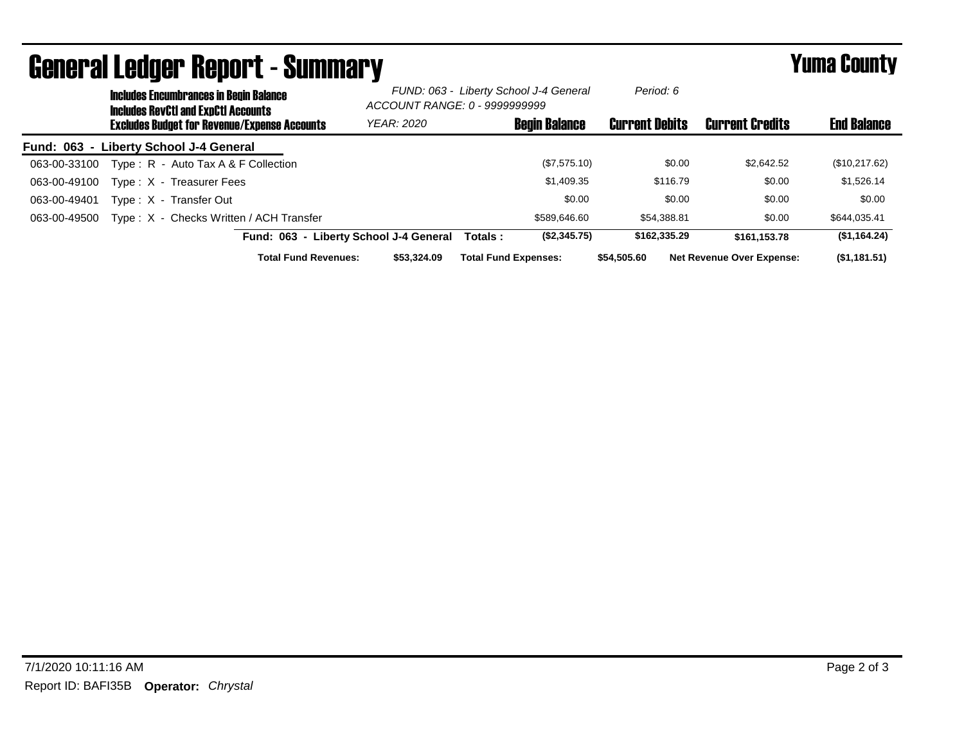| UGIIGI AI LGUYGI HGUUI L´OUIIIIIIAI Y |                                                                                             |                                                     |                                        |                                                                         |                       | I UIIIU VVUIILY                  |                    |
|---------------------------------------|---------------------------------------------------------------------------------------------|-----------------------------------------------------|----------------------------------------|-------------------------------------------------------------------------|-----------------------|----------------------------------|--------------------|
|                                       | <b>Includes Encumbrances in Begin Balance</b><br><b>Includes RevCtI and ExpCtI Accounts</b> |                                                     |                                        | FUND: 063 - Liberty School J-4 General<br>ACCOUNT RANGE: 0 - 9999999999 |                       |                                  |                    |
|                                       |                                                                                             | <b>Excludes Budget for Revenue/Expense Accounts</b> | <b>YEAR: 2020</b>                      | <b>Begin Balance</b>                                                    | <b>Current Debits</b> | <b>Current Credits</b>           | <b>End Balance</b> |
|                                       |                                                                                             | Fund: 063 - Liberty School J-4 General              |                                        |                                                                         |                       |                                  |                    |
| 063-00-33100                          |                                                                                             | Type: R - Auto Tax A & F Collection                 |                                        | (\$7,575.10)                                                            | \$0.00                | \$2,642.52                       | (\$10,217.62)      |
| 063-00-49100                          |                                                                                             | Type: X - Treasurer Fees                            |                                        | \$1,409.35                                                              | \$116.79              | \$0.00                           | \$1,526.14         |
| 063-00-49401                          |                                                                                             | Type: X - Transfer Out                              |                                        | \$0.00                                                                  | \$0.00                | \$0.00                           | \$0.00             |
| 063-00-49500                          |                                                                                             | Type: X - Checks Written / ACH Transfer             |                                        | \$589,646,60                                                            | \$54.388.81           | \$0.00                           | \$644,035.41       |
|                                       |                                                                                             |                                                     | Fund: 063 - Liberty School J-4 General | (\$2,345.75)<br>Totals :                                                | \$162,335,29          | \$161.153.78                     | (S1, 164.24)       |
|                                       |                                                                                             | <b>Total Fund Revenues:</b>                         | \$53,324.09                            | <b>Total Fund Expenses:</b>                                             | \$54,505.60           | <b>Net Revenue Over Expense:</b> | (\$1,181.51)       |

## General Ledger Report - Summary Yuma County